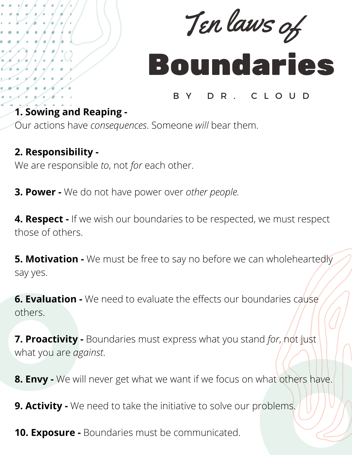

## Boundaries

## B Y D R . C L O U D

## **1. Sowing and Reaping -**

Our actions have *consequences*. Someone *will* bear them.

## **2. Responsibility -**

We are responsible *to*, not *for* each other.

**3. Power -** We do not have power over *other people.*

**4. Respect -** If we wish our boundaries to be respected, we must respect those of others.

**5. Motivation -** We must be free to say no before we can wholeheartedly say yes.

**6. Evaluation -** We need to evaluate the effects our boundaries cause others.

**7. Proactivity** - Boundaries must express what you stand for, not just what you are *against*.

**8. Envy -** We will never get what we want if we focus on what others have.

**9. Activity -** We need to take the initiative to solve our problems.

**10. Exposure -** Boundaries must be communicated.